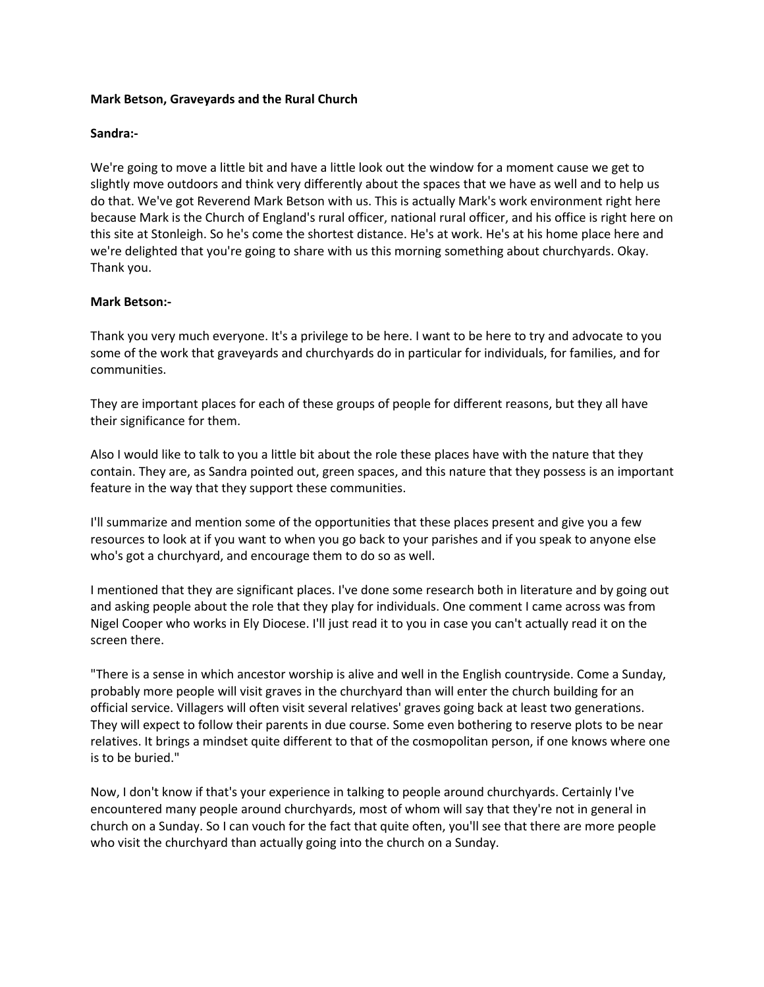## **Mark Betson, Graveyards and the Rural Church**

## **Sandra:-**

We're going to move a little bit and have a little look out the window for a moment cause we get to slightly move outdoors and think very differently about the spaces that we have as well and to help us do that. We've got Reverend Mark Betson with us. This is actually Mark's work environment right here because Mark is the Church of England's rural officer, national rural officer, and his office is right here on this site at Stonleigh. So he's come the shortest distance. He's at work. He's at his home place here and we're delighted that you're going to share with us this morning something about churchyards. Okay. Thank you.

## **Mark Betson:-**

Thank you very much everyone. It's a privilege to be here. I want to be here to try and advocate to you some of the work that graveyards and churchyards do in particular for individuals, for families, and for communities.

They are important places for each of these groups of people for different reasons, but they all have their significance for them.

Also I would like to talk to you a little bit about the role these places have with the nature that they contain. They are, as Sandra pointed out, green spaces, and this nature that they possess is an important feature in the way that they support these communities.

I'll summarize and mention some of the opportunities that these places present and give you a few resources to look at if you want to when you go back to your parishes and if you speak to anyone else who's got a churchyard, and encourage them to do so as well.

I mentioned that they are significant places. I've done some research both in literature and by going out and asking people about the role that they play for individuals. One comment I came across was from Nigel Cooper who works in Ely Diocese. I'll just read it to you in case you can't actually read it on the screen there.

"There is a sense in which ancestor worship is alive and well in the English countryside. Come a Sunday, probably more people will visit graves in the churchyard than will enter the church building for an official service. Villagers will often visit several relatives' graves going back at least two generations. They will expect to follow their parents in due course. Some even bothering to reserve plots to be near relatives. It brings a mindset quite different to that of the cosmopolitan person, if one knows where one is to be buried."

Now, I don't know if that's your experience in talking to people around churchyards. Certainly I've encountered many people around churchyards, most of whom will say that they're not in general in church on a Sunday. So I can vouch for the fact that quite often, you'll see that there are more people who visit the churchyard than actually going into the church on a Sunday.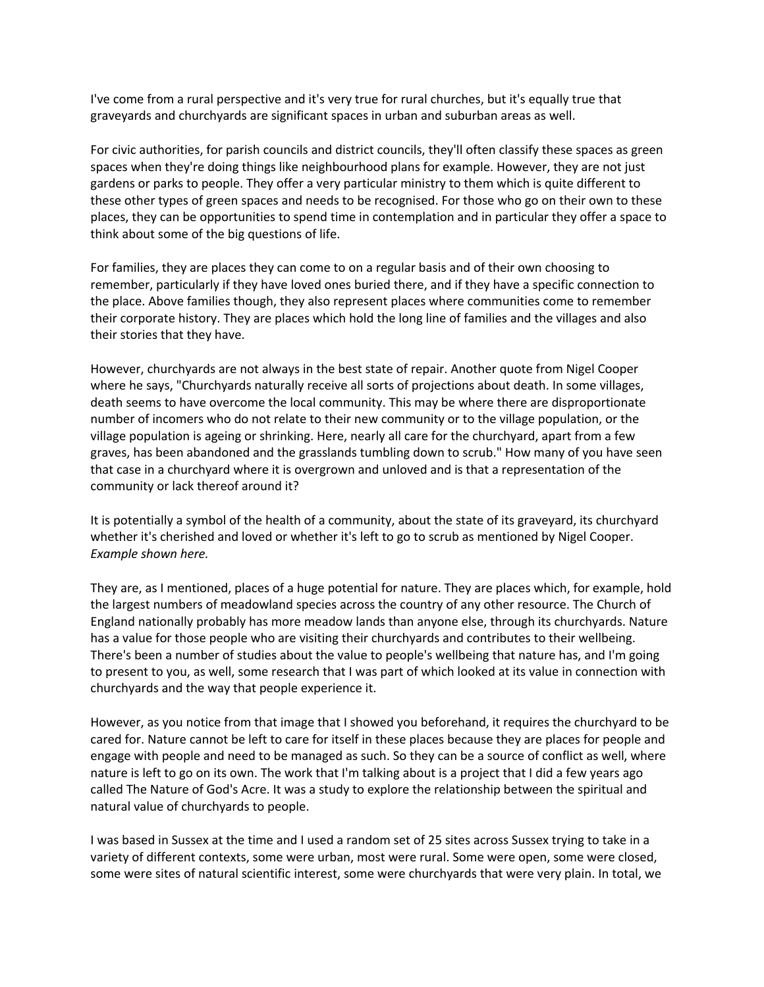I've come from a rural perspective and it's very true for rural churches, but it's equally true that graveyards and churchyards are significant spaces in urban and suburban areas as well.

For civic authorities, for parish councils and district councils, they'll often classify these spaces as green spaces when they're doing things like neighbourhood plans for example. However, they are not just gardens or parks to people. They offer a very particular ministry to them which is quite different to these other types of green spaces and needs to be recognised. For those who go on their own to these places, they can be opportunities to spend time in contemplation and in particular they offer a space to think about some of the big questions of life.

For families, they are places they can come to on a regular basis and of their own choosing to remember, particularly if they have loved ones buried there, and if they have a specific connection to the place. Above families though, they also represent places where communities come to remember their corporate history. They are places which hold the long line of families and the villages and also their stories that they have.

However, churchyards are not always in the best state of repair. Another quote from Nigel Cooper where he says, "Churchyards naturally receive all sorts of projections about death. In some villages, death seems to have overcome the local community. This may be where there are disproportionate number of incomers who do not relate to their new community or to the village population, or the village population is ageing or shrinking. Here, nearly all care for the churchyard, apart from a few graves, has been abandoned and the grasslands tumbling down to scrub." How many of you have seen that case in a churchyard where it is overgrown and unloved and is that a representation of the community or lack thereof around it?

It is potentially a symbol of the health of a community, about the state of its graveyard, its churchyard whether it's cherished and loved or whether it's left to go to scrub as mentioned by Nigel Cooper. *Example shown here.*

They are, as I mentioned, places of a huge potential for nature. They are places which, for example, hold the largest numbers of meadowland species across the country of any other resource. The Church of England nationally probably has more meadow lands than anyone else, through its churchyards. Nature has a value for those people who are visiting their churchyards and contributes to their wellbeing. There's been a number of studies about the value to people's wellbeing that nature has, and I'm going to present to you, as well, some research that I was part of which looked at its value in connection with churchyards and the way that people experience it.

However, as you notice from that image that I showed you beforehand, it requires the churchyard to be cared for. Nature cannot be left to care for itself in these places because they are places for people and engage with people and need to be managed as such. So they can be a source of conflict as well, where nature is left to go on its own. The work that I'm talking about is a project that I did a few years ago called The Nature of God's Acre. It was a study to explore the relationship between the spiritual and natural value of churchyards to people.

I was based in Sussex at the time and I used a random set of 25 sites across Sussex trying to take in a variety of different contexts, some were urban, most were rural. Some were open, some were closed, some were sites of natural scientific interest, some were churchyards that were very plain. In total, we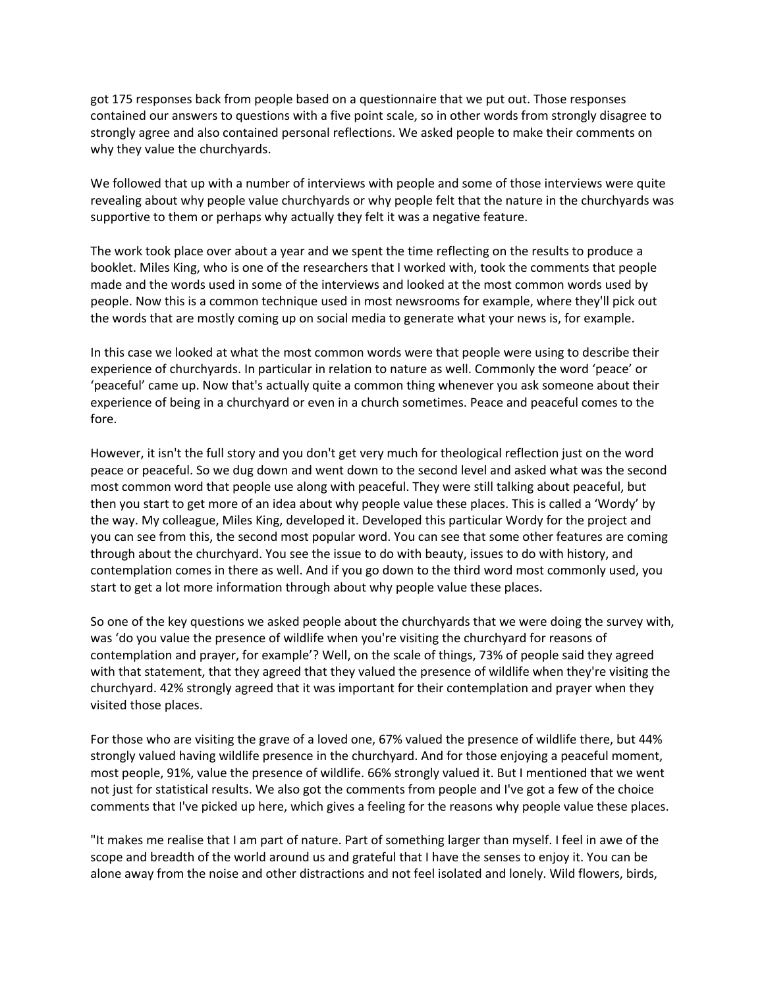got 175 responses back from people based on a questionnaire that we put out. Those responses contained our answers to questions with a five point scale, so in other words from strongly disagree to strongly agree and also contained personal reflections. We asked people to make their comments on why they value the churchyards.

We followed that up with a number of interviews with people and some of those interviews were quite revealing about why people value churchyards or why people felt that the nature in the churchyards was supportive to them or perhaps why actually they felt it was a negative feature.

The work took place over about a year and we spent the time reflecting on the results to produce a booklet. Miles King, who is one of the researchers that I worked with, took the comments that people made and the words used in some of the interviews and looked at the most common words used by people. Now this is a common technique used in most newsrooms for example, where they'll pick out the words that are mostly coming up on social media to generate what your news is, for example.

In this case we looked at what the most common words were that people were using to describe their experience of churchyards. In particular in relation to nature as well. Commonly the word 'peace' or 'peaceful' came up. Now that's actually quite a common thing whenever you ask someone about their experience of being in a churchyard or even in a church sometimes. Peace and peaceful comes to the fore.

However, it isn't the full story and you don't get very much for theological reflection just on the word peace or peaceful. So we dug down and went down to the second level and asked what was the second most common word that people use along with peaceful. They were still talking about peaceful, but then you start to get more of an idea about why people value these places. This is called a 'Wordy' by the way. My colleague, Miles King, developed it. Developed this particular Wordy for the project and you can see from this, the second most popular word. You can see that some other features are coming through about the churchyard. You see the issue to do with beauty, issues to do with history, and contemplation comes in there as well. And if you go down to the third word most commonly used, you start to get a lot more information through about why people value these places.

So one of the key questions we asked people about the churchyards that we were doing the survey with, was 'do you value the presence of wildlife when you're visiting the churchyard for reasons of contemplation and prayer, for example'? Well, on the scale of things, 73% of people said they agreed with that statement, that they agreed that they valued the presence of wildlife when they're visiting the churchyard. 42% strongly agreed that it was important for their contemplation and prayer when they visited those places.

For those who are visiting the grave of a loved one, 67% valued the presence of wildlife there, but 44% strongly valued having wildlife presence in the churchyard. And for those enjoying a peaceful moment, most people, 91%, value the presence of wildlife. 66% strongly valued it. But I mentioned that we went not just for statistical results. We also got the comments from people and I've got a few of the choice comments that I've picked up here, which gives a feeling for the reasons why people value these places.

"It makes me realise that I am part of nature. Part of something larger than myself. I feel in awe of the scope and breadth of the world around us and grateful that I have the senses to enjoy it. You can be alone away from the noise and other distractions and not feel isolated and lonely. Wild flowers, birds,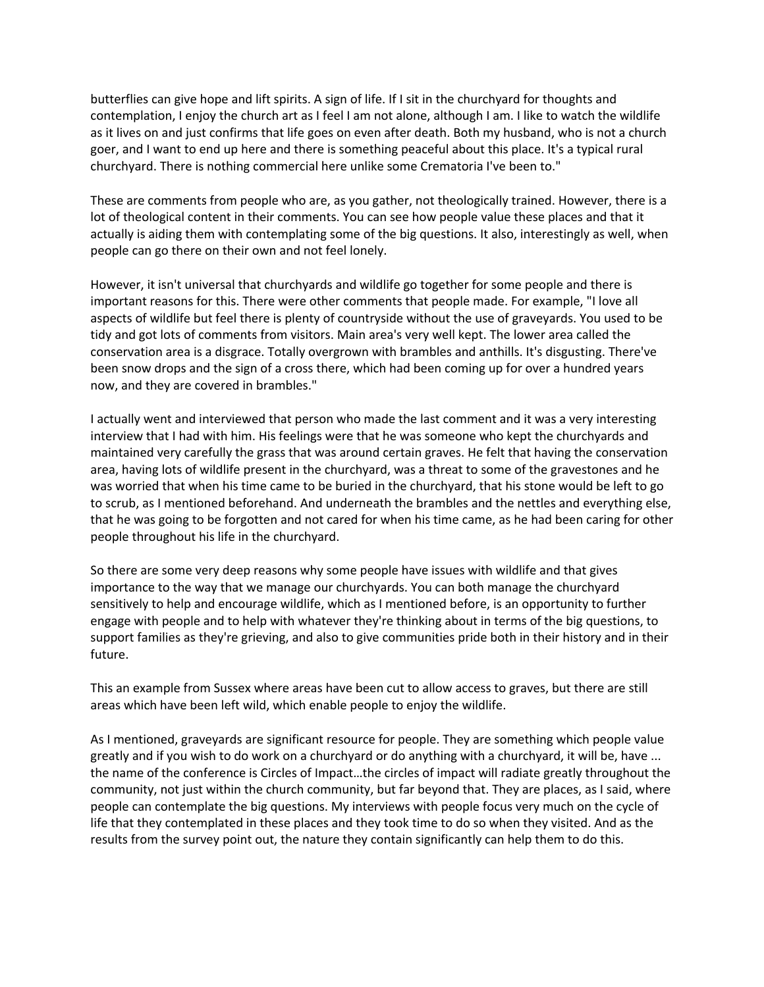butterflies can give hope and lift spirits. A sign of life. If I sit in the churchyard for thoughts and contemplation, I enjoy the church art as I feel I am not alone, although I am. I like to watch the wildlife as it lives on and just confirms that life goes on even after death. Both my husband, who is not a church goer, and I want to end up here and there is something peaceful about this place. It's a typical rural churchyard. There is nothing commercial here unlike some Crematoria I've been to."

These are comments from people who are, as you gather, not theologically trained. However, there is a lot of theological content in their comments. You can see how people value these places and that it actually is aiding them with contemplating some of the big questions. It also, interestingly as well, when people can go there on their own and not feel lonely.

However, it isn't universal that churchyards and wildlife go together for some people and there is important reasons for this. There were other comments that people made. For example, "I love all aspects of wildlife but feel there is plenty of countryside without the use of graveyards. You used to be tidy and got lots of comments from visitors. Main area's very well kept. The lower area called the conservation area is a disgrace. Totally overgrown with brambles and anthills. It's disgusting. There've been snow drops and the sign of a cross there, which had been coming up for over a hundred years now, and they are covered in brambles."

I actually went and interviewed that person who made the last comment and it was a very interesting interview that I had with him. His feelings were that he was someone who kept the churchyards and maintained very carefully the grass that was around certain graves. He felt that having the conservation area, having lots of wildlife present in the churchyard, was a threat to some of the gravestones and he was worried that when his time came to be buried in the churchyard, that his stone would be left to go to scrub, as I mentioned beforehand. And underneath the brambles and the nettles and everything else, that he was going to be forgotten and not cared for when his time came, as he had been caring for other people throughout his life in the churchyard.

So there are some very deep reasons why some people have issues with wildlife and that gives importance to the way that we manage our churchyards. You can both manage the churchyard sensitively to help and encourage wildlife, which as I mentioned before, is an opportunity to further engage with people and to help with whatever they're thinking about in terms of the big questions, to support families as they're grieving, and also to give communities pride both in their history and in their future.

This an example from Sussex where areas have been cut to allow access to graves, but there are still areas which have been left wild, which enable people to enjoy the wildlife.

As I mentioned, graveyards are significant resource for people. They are something which people value greatly and if you wish to do work on a churchyard or do anything with a churchyard, it will be, have ... the name of the conference is Circles of Impact…the circles of impact will radiate greatly throughout the community, not just within the church community, but far beyond that. They are places, as I said, where people can contemplate the big questions. My interviews with people focus very much on the cycle of life that they contemplated in these places and they took time to do so when they visited. And as the results from the survey point out, the nature they contain significantly can help them to do this.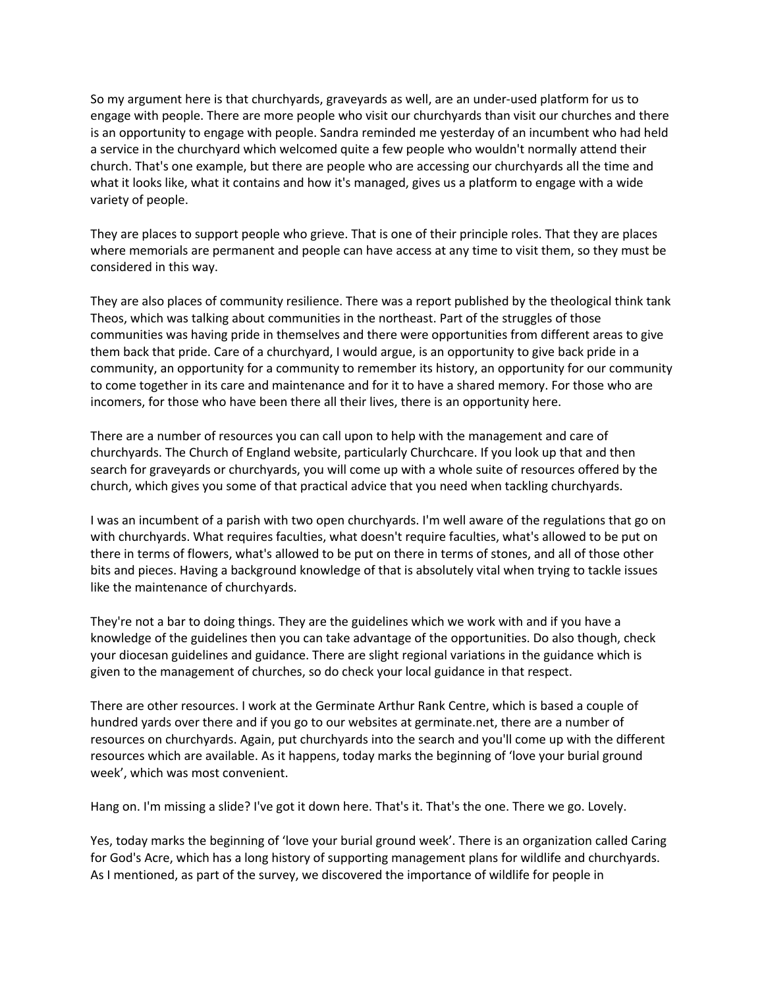So my argument here is that churchyards, graveyards as well, are an under-used platform for us to engage with people. There are more people who visit our churchyards than visit our churches and there is an opportunity to engage with people. Sandra reminded me yesterday of an incumbent who had held a service in the churchyard which welcomed quite a few people who wouldn't normally attend their church. That's one example, but there are people who are accessing our churchyards all the time and what it looks like, what it contains and how it's managed, gives us a platform to engage with a wide variety of people.

They are places to support people who grieve. That is one of their principle roles. That they are places where memorials are permanent and people can have access at any time to visit them, so they must be considered in this way.

They are also places of community resilience. There was a report published by the theological think tank Theos, which was talking about communities in the northeast. Part of the struggles of those communities was having pride in themselves and there were opportunities from different areas to give them back that pride. Care of a churchyard, I would argue, is an opportunity to give back pride in a community, an opportunity for a community to remember its history, an opportunity for our community to come together in its care and maintenance and for it to have a shared memory. For those who are incomers, for those who have been there all their lives, there is an opportunity here.

There are a number of resources you can call upon to help with the management and care of churchyards. The Church of England website, particularly Churchcare. If you look up that and then search for graveyards or churchyards, you will come up with a whole suite of resources offered by the church, which gives you some of that practical advice that you need when tackling churchyards.

I was an incumbent of a parish with two open churchyards. I'm well aware of the regulations that go on with churchyards. What requires faculties, what doesn't require faculties, what's allowed to be put on there in terms of flowers, what's allowed to be put on there in terms of stones, and all of those other bits and pieces. Having a background knowledge of that is absolutely vital when trying to tackle issues like the maintenance of churchyards.

They're not a bar to doing things. They are the guidelines which we work with and if you have a knowledge of the guidelines then you can take advantage of the opportunities. Do also though, check your diocesan guidelines and guidance. There are slight regional variations in the guidance which is given to the management of churches, so do check your local guidance in that respect.

There are other resources. I work at the Germinate Arthur Rank Centre, which is based a couple of hundred yards over there and if you go to our websites at germinate.net, there are a number of resources on churchyards. Again, put churchyards into the search and you'll come up with the different resources which are available. As it happens, today marks the beginning of 'love your burial ground week', which was most convenient.

Hang on. I'm missing a slide? I've got it down here. That's it. That's the one. There we go. Lovely.

Yes, today marks the beginning of 'love your burial ground week'. There is an organization called Caring for God's Acre, which has a long history of supporting management plans for wildlife and churchyards. As I mentioned, as part of the survey, we discovered the importance of wildlife for people in